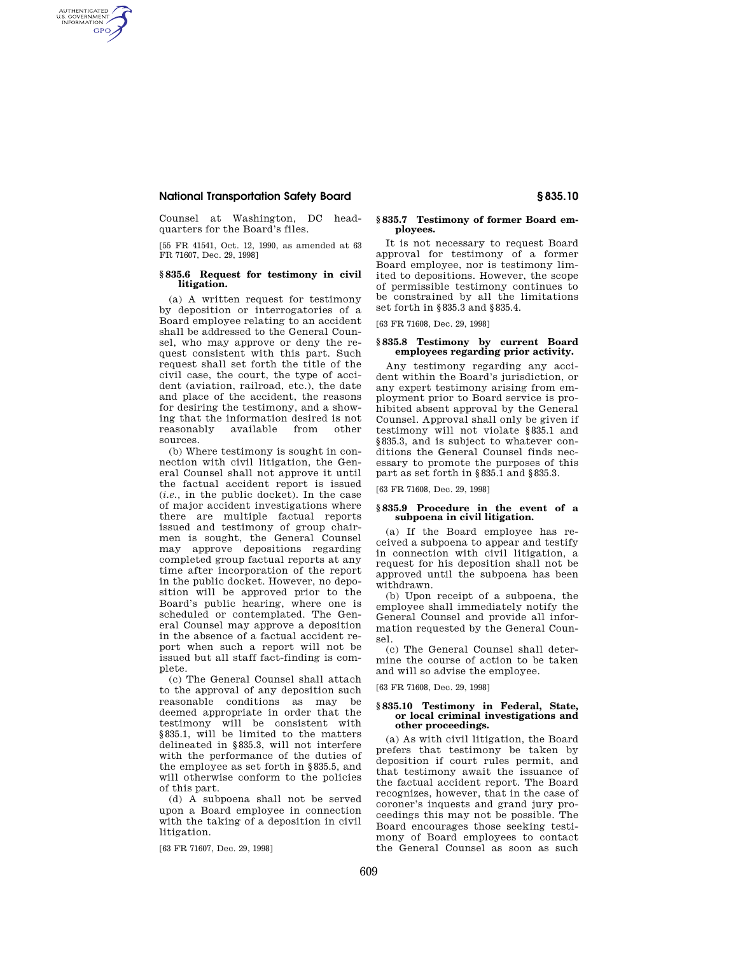# **National Transportation Safety Board § 835.10**

AUTHENTICATED<br>U.S. GOVERNMENT<br>INFORMATION **GPO** 

> Counsel at Washington, DC headquarters for the Board's files.

> [55 FR 41541, Oct. 12, 1990, as amended at 63 FR 71607, Dec. 29, 1998]

### **§ 835.6 Request for testimony in civil litigation.**

(a) A written request for testimony by deposition or interrogatories of a Board employee relating to an accident shall be addressed to the General Counsel, who may approve or deny the request consistent with this part. Such request shall set forth the title of the civil case, the court, the type of accident (aviation, railroad, etc.), the date and place of the accident, the reasons for desiring the testimony, and a showing that the information desired is not reasonably available from other sources.

(b) Where testimony is sought in connection with civil litigation, the General Counsel shall not approve it until the factual accident report is issued (*i.e.,* in the public docket). In the case of major accident investigations where there are multiple factual reports issued and testimony of group chairmen is sought, the General Counsel may approve depositions regarding completed group factual reports at any time after incorporation of the report in the public docket. However, no deposition will be approved prior to the Board's public hearing, where one is scheduled or contemplated. The General Counsel may approve a deposition in the absence of a factual accident report when such a report will not be issued but all staff fact-finding is complete.

(c) The General Counsel shall attach to the approval of any deposition such reasonable conditions as may be deemed appropriate in order that the testimony will be consistent with §835.1, will be limited to the matters delineated in §835.3, will not interfere with the performance of the duties of the employee as set forth in §835.5, and will otherwise conform to the policies of this part.

(d) A subpoena shall not be served upon a Board employee in connection with the taking of a deposition in civil litigation.

[63 FR 71607, Dec. 29, 1998]

### **§ 835.7 Testimony of former Board employees.**

It is not necessary to request Board approval for testimony of a former Board employee, nor is testimony limited to depositions. However, the scope of permissible testimony continues to be constrained by all the limitations set forth in §835.3 and §835.4.

[63 FR 71608, Dec. 29, 1998]

### **§ 835.8 Testimony by current Board employees regarding prior activity.**

Any testimony regarding any accident within the Board's jurisdiction, or any expert testimony arising from employment prior to Board service is prohibited absent approval by the General Counsel. Approval shall only be given if testimony will not violate §835.1 and §835.3, and is subject to whatever conditions the General Counsel finds necessary to promote the purposes of this part as set forth in §835.1 and §835.3.

[63 FR 71608, Dec. 29, 1998]

### **§ 835.9 Procedure in the event of a subpoena in civil litigation.**

(a) If the Board employee has received a subpoena to appear and testify in connection with civil litigation, a request for his deposition shall not be approved until the subpoena has been withdrawn.

(b) Upon receipt of a subpoena, the employee shall immediately notify the General Counsel and provide all information requested by the General Counsel.

(c) The General Counsel shall determine the course of action to be taken and will so advise the employee.

[63 FR 71608, Dec. 29, 1998]

### **§ 835.10 Testimony in Federal, State, or local criminal investigations and other proceedings.**

(a) As with civil litigation, the Board prefers that testimony be taken by deposition if court rules permit, and that testimony await the issuance of the factual accident report. The Board recognizes, however, that in the case of coroner's inquests and grand jury proceedings this may not be possible. The Board encourages those seeking testimony of Board employees to contact the General Counsel as soon as such